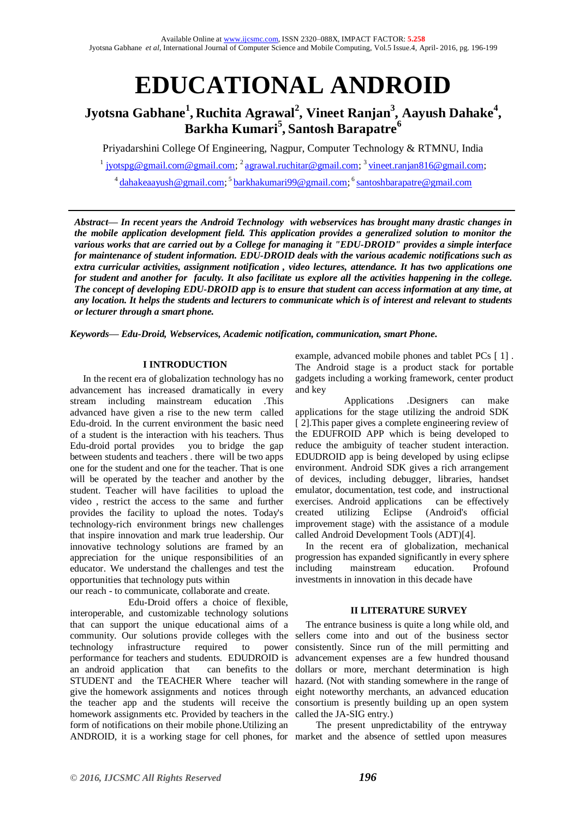# **EDUCATIONAL ANDROID**

### **Jyotsna Gabhane<sup>1</sup> , Ruchita Agrawal<sup>2</sup> , Vineet Ranjan<sup>3</sup> , Aayush Dahake<sup>4</sup> , Barkha Kumari<sup>5</sup> , Santosh Barapatre<sup>6</sup>**

Priyadarshini College Of Engineering, Nagpur, Computer Technology & RTMNU, India

<sup>1</sup> [jyotspg@gmail.com@gmail.com;](mailto:jyotspg@gmail.com@gmail.com) <sup>2</sup> [agrawal.ruchitar@gmail.com;](mailto:agrawal.ruchitar@gmail.com) <sup>3</sup> [vineet.ranjan816@gmail.com;](mailto:vineet.ranjan816@gmail.com)

<sup>4</sup> [dahakeaayush@gmail.com;](mailto:dahakeaayush@gmail.com) <sup>5</sup> [barkhakumari99@gmail.com;](mailto:barkhakumari99@gmail.com) <sup>6</sup> [santoshbarapatre@gmail.com](mailto:santoshbarapatre@gmail.com)

*Abstract— In recent years the Android Technology with webservices has brought many drastic changes in the mobile application development field. This application provides a generalized solution to monitor the various works that are carried out by a College for managing it "EDU-DROID" provides a simple interface for maintenance of student information. EDU-DROID deals with the various academic notifications such as extra curricular activities, assignment notification , video lectures, attendance. It has two applications one for student and another for faculty. It also facilitate us explore all the activities happening in the college. The concept of developing EDU-DROID app is to ensure that student can access information at any time, at any location. It helps the students and lecturers to communicate which is of interest and relevant to students or lecturer through a smart phone.*

*Keywords— Edu-Droid, Webservices, Academic notification, communication, smart Phone.* 

#### **I INTRODUCTION**

In the recent era of globalization technology has no advancement has increased dramatically in every stream including mainstream education .This advanced have given a rise to the new term called Edu-droid. In the current environment the basic need of a student is the interaction with his teachers. Thus Edu-droid portal provides you to bridge the gap between students and teachers . there will be two apps one for the student and one for the teacher. That is one will be operated by the teacher and another by the student. Teacher will have facilities to upload the video , restrict the access to the same and further provides the facility to upload the notes. Today's technology-rich environment brings new challenges that inspire innovation and mark true leadership. Our innovative technology solutions are framed by an appreciation for the unique responsibilities of an educator. We understand the challenges and test the opportunities that technology puts within

our reach - to communicate, collaborate and create.

 Edu-Droid offers a choice of flexible, interoperable, and customizable technology solutions that can support the unique educational aims of a community. Our solutions provide colleges with the sellers come into and out of the business sector technology infrastructure required to power performance for teachers and students. EDUDROID is an android application that can benefits to the STUDENT and the TEACHER Where teacher will give the homework assignments and notices through eight noteworthy merchants, an advanced education the teacher app and the students will receive the consortium is presently building up an open system homework assignments etc. Provided by teachers in the called the JA-SIG entry.) form of notifications on their mobile phone.Utilizing an ANDROID, it is a working stage for cell phones, for market and the absence of settled upon measures

example, advanced mobile phones and tablet PCs [ 1] . The Android stage is a product stack for portable gadgets including a working framework, center product and key

 Applications .Designers can make applications for the stage utilizing the android SDK [2]. This paper gives a complete engineering review of the EDUFROID APP which is being developed to reduce the ambiguity of teacher student interaction. EDUDROID app is being developed by using eclipse environment. Android SDK gives a rich arrangement of devices, including debugger, libraries, handset emulator, documentation, test code, and instructional exercises. Android applications can be effectively created utilizing Eclipse (Android's official improvement stage) with the assistance of a module called Android Development Tools (ADT)[4].

In the recent era of globalization, mechanical progression has expanded significantly in every sphere including mainstream education. Profound investments in innovation in this decade have

#### **II LITERATURE SURVEY**

The entrance business is quite a long while old, and consistently. Since run of the mill permitting and advancement expenses are a few hundred thousand dollars or more, merchant determination is high hazard. (Not with standing somewhere in the range of

The present unpredictability of the entryway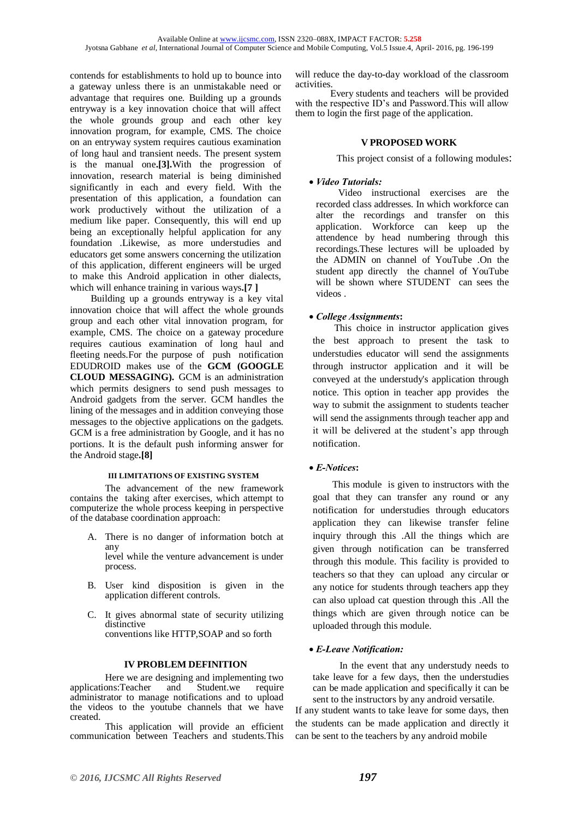contends for establishments to hold up to bounce into a gateway unless there is an unmistakable need or advantage that requires one. Building up a grounds entryway is a key innovation choice that will affect the whole grounds group and each other key innovation program, for example, CMS. The choice on an entryway system requires cautious examination of long haul and transient needs. The present system is the manual one**.[3].**With the progression of innovation, research material is being diminished significantly in each and every field. With the presentation of this application, a foundation can work productively without the utilization of a medium like paper. Consequently, this will end up being an exceptionally helpful application for any foundation .Likewise, as more understudies and educators get some answers concerning the utilization of this application, different engineers will be urged to make this Android application in other dialects, which will enhance training in various ways**.[7 ]**

Building up a grounds entryway is a key vital innovation choice that will affect the whole grounds group and each other vital innovation program, for example, CMS. The choice on a gateway procedure requires cautious examination of long haul and fleeting needs.For the purpose of push notification EDUDROID makes use of the **GCM (GOOGLE CLOUD MESSAGING).** GCM is an administration which permits designers to send push messages to Android gadgets from the server. GCM handles the lining of the messages and in addition conveying those messages to the objective applications on the gadgets. GCM is a free administration by Google, and it has no portions. It is the default push informing answer for the Android stage**.[8]**

#### **III LIMITATIONS OF EXISTING SYSTEM**

The advancement of the new framework contains the taking after exercises, which attempt to computerize the whole process keeping in perspective of the database coordination approach:

A. There is no danger of information botch at any level while the venture advancement is under

process.

- B. User kind disposition is given in the application different controls.
- C. It gives abnormal state of security utilizing distinctive conventions like HTTP,SOAP and so forth

#### **IV PROBLEM DEFINITION**

Here we are designing and implementing two<br>ons:Teacher and Student.we require applications:Teacher and Student.we administrator to manage notifications and to upload the videos to the youtube channels that we have created.

This application will provide an efficient communication between Teachers and students.This will reduce the day-to-day workload of the classroom activities.

Every students and teachers will be provided with the respective ID's and Password.This will allow them to login the first page of the application.

#### **V PROPOSED WORK**

This project consist of a following modules:

#### *Video Tutorials:*

 Video instructional exercises are the recorded class addresses. In which workforce can alter the recordings and transfer on this application. Workforce can keep up the attendence by head numbering through this recordings.These lectures will be uploaded by the ADMIN on channel of YouTube .On the student app directly the channel of YouTube will be shown where STUDENT can sees the videos .

#### *College Assignments***:**

 This choice in instructor application gives the best approach to present the task to understudies educator will send the assignments through instructor application and it will be conveyed at the understudy's application through notice. This option in teacher app provides the way to submit the assignment to students teacher will send the assignments through teacher app and it will be delivered at the student's app through notification.

#### *E-Notices***:**

 This module is given to instructors with the goal that they can transfer any round or any notification for understudies through educators application they can likewise transfer feline inquiry through this .All the things which are given through notification can be transferred through this module. This facility is provided to teachers so that they can upload any circular or any notice for students through teachers app they can also upload cat question through this .All the things which are given through notice can be uploaded through this module.

#### *E-Leave Notification:*

 In the event that any understudy needs to take leave for a few days, then the understudies can be made application and specifically it can be sent to the instructors by any android versatile.

If any student wants to take leave for some days, then the students can be made application and directly it can be sent to the teachers by any android mobile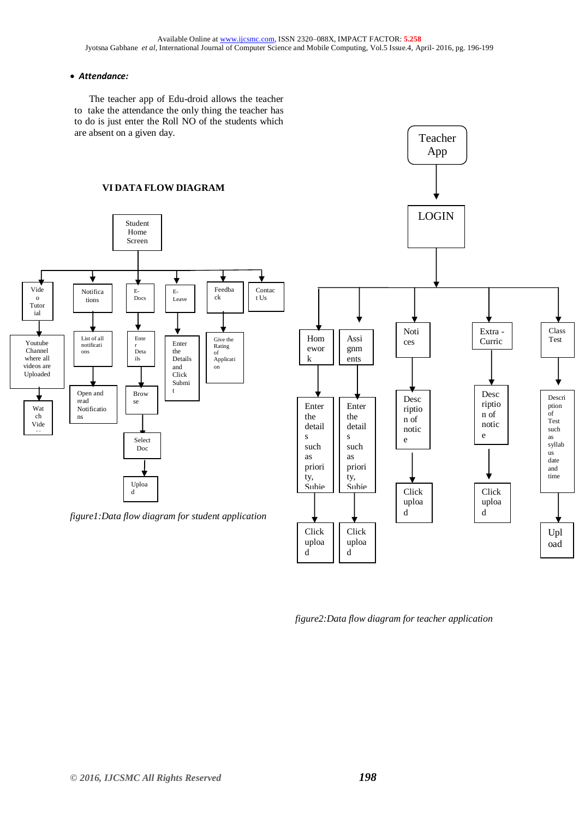#### *Attendance:*

 The teacher app of Edu-droid allows the teacher  to take the attendance the only thing the teacher has to do is just enter the Roll NO of the students which  are absent on a given day.

## **VI DATA FLOW DIAGRAM**



enek<br>uploa d

enek<br>uploa d

*figure2:Data flow diagram for teacher application*

Upl oad

Teacher App